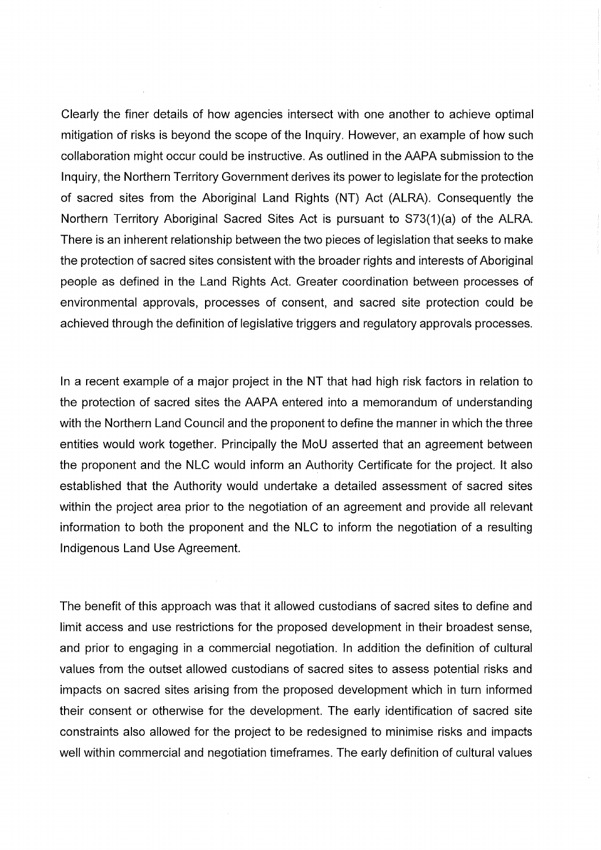Clearly the finer details of how agencies intersect with one another to achieve optimal mitigation of risks is beyond the scope of the Inquiry. However, an example of how such collaboration might occur could be instructive. As outlined in the AAPA submission to the Inquiry, the Northern Territory Government derives its power to legislate for the protection of sacred sites from the Aboriginal Land Rights (NT) Act (ALRA). Consequently the Northern Territory Aboriginal Sacred Sites Act is pursuant to S73(1)(a) of the ALRA. There is an inherent relationship between the two pieces of legislation that seeks to make the protection of sacred sites consistent with the broader rights and interests of Aboriginal people as defined in the Land Rights Act. Greater coordination between processes of environmental approvals, processes of consent, and sacred site protection could be achieved through the definition of legislative triggers and regulatory approvals processes.

In a recent example of a major project in the NT that had high risk factors in relation to the protection of sacred sites the AAPA entered into a memorandum of understanding with the Northern Land Council and the proponent to define the manner in which the three entities would work together. Principally the MoU asserted that an agreement between the proponent and the NLC would inform an Authority Certificate for the project. It also established that the Authority would undertake a detailed assessment of sacred sites within the project area prior to the negotiation of an agreement and provide all relevant information to both the proponent and the NLC to inform the negotiation of a resulting Indigenous Land Use Agreement.

The benefit of this approach was that it allowed custodians of sacred sites to define and limit access and use restrictions for the proposed development in their broadest sense, and prior to engaging in a commercial negotiation. In addition the definition of cultural values from the outset allowed custodians of sacred sites to assess potential risks and impacts on sacred sites arising from the proposed development which in turn informed their consent or otherwise for the development. The early identification of sacred site constraints also allowed for the project to be redesigned to minimise risks and impacts well within commercial and negotiation timeframes. The early definition of cultural values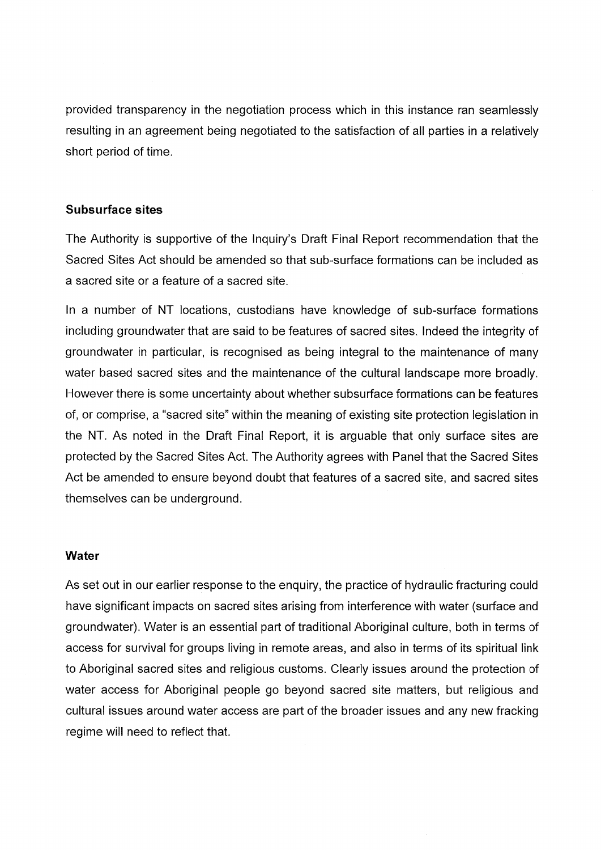provided transparency in the negotiation process which in this instance ran seamlessly resulting in an agreement being negotiated to the satisfaction of all parties in a relatively short period of time.

#### Subsurface sites

The Authority is supportive of the Inquiry's Draft Final Report recommendation that the Sacred Sites Act should be amended so that sub-surface formations can be included as a sacred site or a feature of a sacred site.

In a number of NT locations, custodians have knowledge of sub-surface formations including groundwater that are said to be features of sacred sites. Indeed the integrity of groundwater in particular, is recognised as being integral to the maintenance of many water based sacred sites and the maintenance of the cultural landscape more broadly. However there is some uncertainty about whether subsurface formations can be features of, or comprise, a "sacred site" within the meaning of existing site protection legislation in the NT. As noted in the Draft Final Report, it is arguable that only surface sites are protected by the Sacred Sites Act. The Authority agrees with Panel that the Sacred Sites Act be amended to ensure beyond doubt that features of a sacred site, and sacred sites themselves can be underground.

#### Water

As set out in our earlier response to the enquiry, the practice of hydraulic fracturing could have significant impacts on sacred sites arising from interference with water (surface and groundwater). Water is an essential part of traditional Aboriginal culture, both in terms of access for survival for groups living in remote areas, and also in terms of its spiritual link to Aboriginal sacred sites and religious customs. Clearly issues around the protection of water access for Aboriginal people go beyond sacred site matters, but religious and cultural issues around water access are part of the broader issues and any new fracking regime will need to reflect that.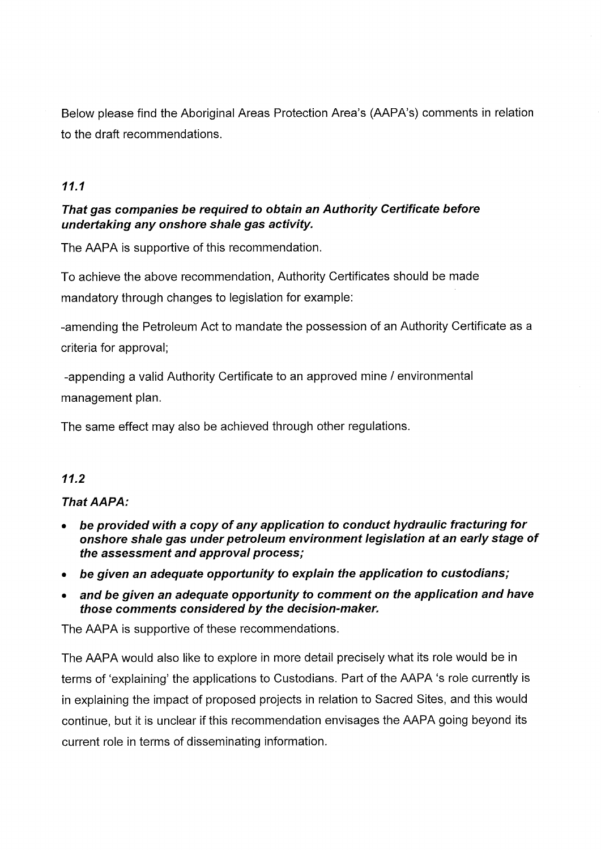Below please find the Aboriginal Areas Protection Area's (AAPA's) comments in relation to the draft recommendations.

# 11.1

## That gas companies be required to obtain an Authority Certificate before undertaking any onshore shale gas activity.

The AAPA is supportive of this recommendation.

To achieve the above recommendation, Authority Certificates should be made mandatory through changes to legislation for example:

-amending the Petroleum Act to mandate the possession of an Authority Certificate as a criteria for approval;

-appending a valid Authority Certificate to an approved mine / environmental management plan.

The same effect may also be achieved through other regulations.

## 11.2

## That AAPA:

- be provided with a copy of any application to conduct hydraulic fracturing for onshore shale gas under petroleum environment legislation at an early stage of the assessment and approval process;
- be given an adequate opportunity to explain the application to custodians;
- and be given an adequate opportunity to comment on the application and have those comments considered by the decision-maker.

The AAPA is supportive of these recommendations.

The AAPA would also like to explore in more detail precisely what its role would be in terms of 'explaining' the applications to Custodians. Part of the AAPA 's role currently is in explaining the impact of proposed projects in relation to Sacred Sites, and this would continue, but it is unclear if this recommendation envisages the AAPA going beyond its current role in terms of disseminating information.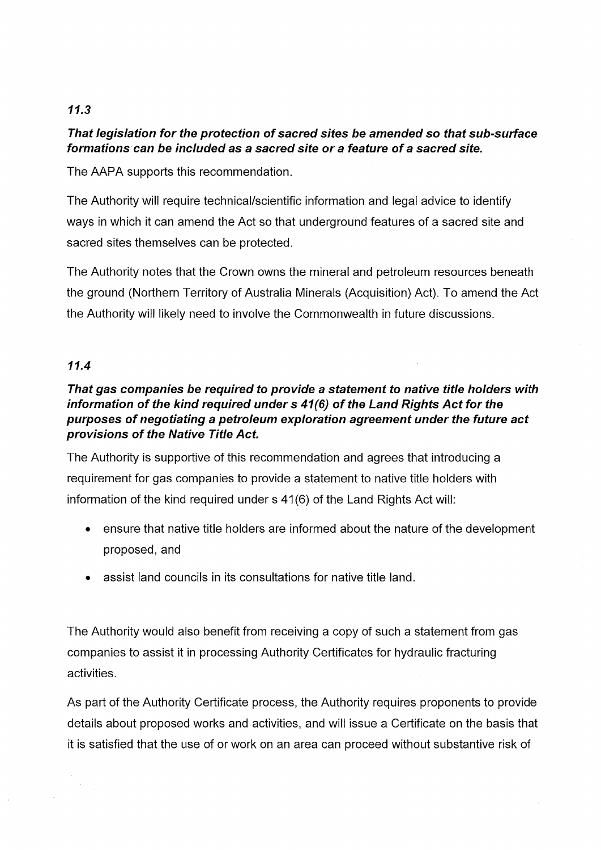# 11.3

# That legislation for the protection of sacred sites be amended so that sub-surface formations can be included as a sacred site or a feature of a sacred site.

The AAPA supports this recommendation.

The Authority will require technical/scientific information and legal advice to identify ways in which it can amend the Act so that underground features of a sacred site and sacred sites themselves can be protected.

The Authority notes that the Crown owns the mineral and petroleum resources beneath the ground (Northern Territory of Australia Minerals (Acquisition) Act). To amend the Act the Authority will likely need to involve the Commonwealth in future discussions.

# 11.4

# That gas companies be required to provide a statement to native title holders with information of the kind required under s 41(6) of the Land Rights Act for the purposes of negotiating a petroleum exploration agreement under the future act provisions of the Native Title Act.

The Authority is supportive of this recommendation and agrees that introducing a requirement for gas companies to provide a statement to native title holders with information of the kind required under s 41(6) of the Land Rights Act will:

- ensure that native title holders are informed about the nature of the development proposed, and
- assist land councils in its consultations for native title land.

The Authority would also benefit from receiving a copy of such a statement from gas companies to assist it in processing Authority Certificates for hydraulic fracturing activities.

As part of the Authority Certificate process, the Authority requires proponents to provide details about proposed works and activities, and will issue a Certificate on the basis that it is satisfied that the use of or work on an area can proceed without substantive risk of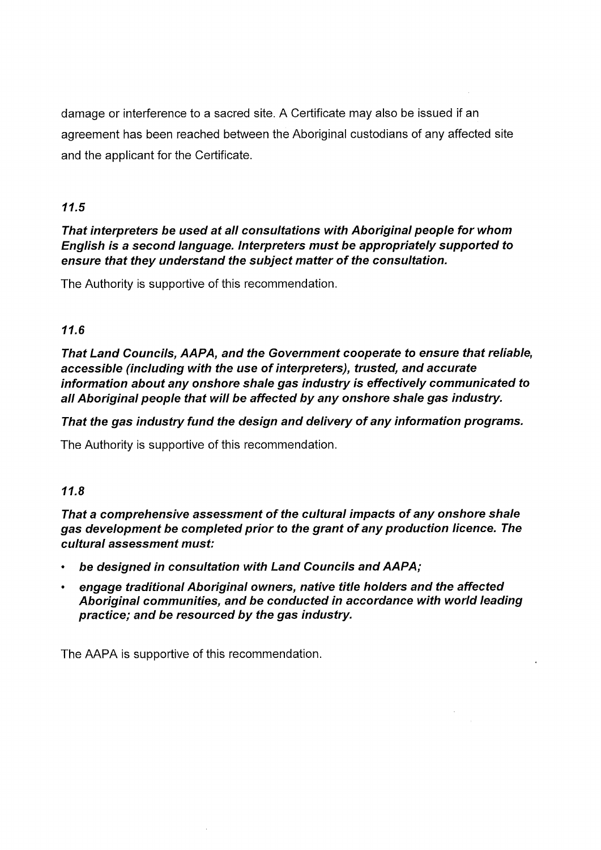damage or interference to a sacred site. A Certificate may also be issued if an agreement has been reached between the Aboriginal custodians of any affected site and the applicant for the Certificate.

# 11.5

## That interpreters be used at all consultations with Aboriginal people for whom English is a second language. Interpreters must be appropriately supported to ensure that they understand the subject matter of the consultation.

The Authority is supportive of this recommendation.

# 11.6

That Land Councils, AAPA, and the Government cooperate to ensure that reliable, accessible (including with the use of interpreters), trusted, and accurate information about any onshore shale gas industry is effectively communicated to all Aboriginal people that will be affected by any onshore shale gas industry.

# That the gas industry fund the design and delivery of any information programs.

The Authority is supportive of this recommendation.

## 11.8

That a comprehensive assessment of the cultural impacts of any onshore shale gas development be completed prior to the grant of any production licence. The cultural assessment must:

- be designed in consultation with Land Councils and AAPA;
- engage traditional Aboriginal owners, native title holders and the affected Aboriginal communities, and be conducted in accordance with world leading practice; and be resourced by the gas industry.

The AAPA is supportive of this recommendation.